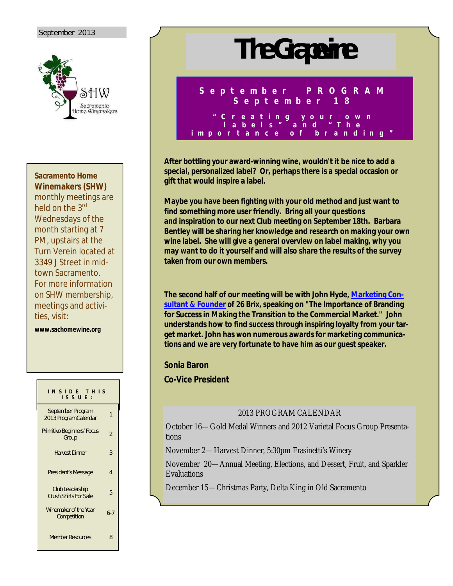### September 2013



**Sacramento Home Winemakers (SHW)**

monthly meetings are held on the 3<sup>rd</sup> Wednesdays of the month starting at 7 PM, upstairs at the Turn Verein located at 3349 J Street in midtown Sacramento. For more information on SHW membership, meetings and activities, visit:

**www.sachomewine.org** 

| INSIDE THIS<br>ISSUE:                                  |                |
|--------------------------------------------------------|----------------|
| September Program<br>2013 Program Calendar             | 1              |
| Primitivo Beginners' Focus<br>Group                    | $\overline{2}$ |
| <b>Harvest Dinner</b>                                  | 3              |
| President's Message                                    | 4              |
| <b>Club Leadership</b><br><b>Crush Shirts For Sale</b> | 5              |
| Winemaker of the Year<br>Competition                   | $6 - 7$        |
| <b>Member Resources</b>                                | ጸ              |

# **The Grapevine**

**S e p t e m b e r P R O G R A M S e p t e m b e r 1 8**

**" C r e a t i n g y o u r o w n l a b e l s " a n d " T h e i m p o r t a n c e o f b r a n d i n g "** 

**After bottling your award-winning wine, wouldn't it be nice to add a special, personalized label? Or, perhaps there is a special occasion or gift that would inspire a label.** 

**Maybe you have been fighting with your old method and just want to find something more user friendly. Bring all your questions and inspiration to our next Club meeting on September 18th. Barbara Bentley will be sharing her knowledge and research on making your own wine label. She will give a general overview on label making, why you may want to do it yourself and will also share the results of the survey taken from our own members.**

**The second half of our meeting will be with John Hyde, Marketing Consultant & Founder of 26 Brix, speaking on "The Importance of Branding for Success in Making the Transition to the Commercial Market." John understands how to find success through inspiring loyalty from your target market. John has won numerous awards for marketing communications and we are very fortunate to have him as our guest speaker.**

### **Sonia Baron**

**Co-Vice President**

### 2013 PROGRAM CALENDAR

October 16—Gold Medal Winners and 2012 Varietal Focus Group Presentations

November 2—Harvest Dinner, 5:30pm Frasinetti's Winery

November 20—Annual Meeting, Elections, and Dessert, Fruit, and Sparkler Evaluations

December 15—Christmas Party, Delta King in Old Sacramento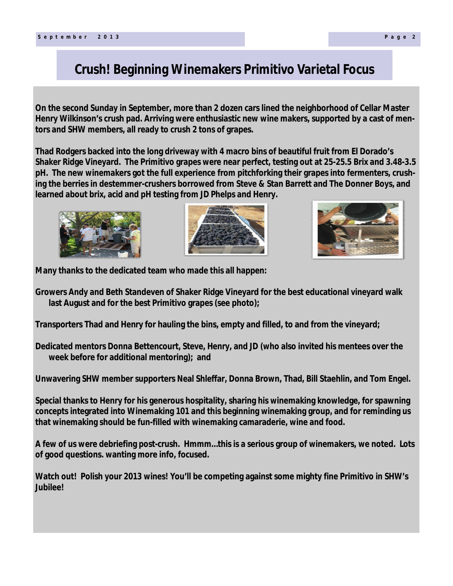# **Crush! Beginning Winemakers Primitivo Varietal Focus**

**On the second Sunday in September, more than 2 dozen cars lined the neighborhood of Cellar Master Henry Wilkinson's crush pad. Arriving were enthusiastic new wine makers, supported by a cast of mentors and SHW members, all ready to crush 2 tons of grapes.**

**Thad Rodgers backed into the long driveway with 4 macro bins of beautiful fruit from El Dorado's Shaker Ridge Vineyard. The Primitivo grapes were near perfect, testing out at 25-25.5 Brix and 3.48-3.5 pH. The new winemakers got the full experience from pitchforking their grapes into fermenters, crushing the berries in destemmer-crushers borrowed from Steve & Stan Barrett and The Donner Boys, and learned about brix, acid and pH testing from JD Phelps and Henry.**







**Many thanks to the dedicated team who made this all happen:** 

**Growers Andy and Beth Standeven of Shaker Ridge Vineyard for the best educational vineyard walk last August and for the best Primitivo grapes (see photo);**

**Transporters Thad and Henry for hauling the bins, empty and filled, to and from the vineyard;**

**Dedicated mentors Donna Bettencourt, Steve, Henry, and JD (who also invited his mentees over the week before for additional mentoring); and**

**Unwavering SHW member supporters Neal Shleffar, Donna Brown, Thad, Bill Staehlin, and Tom Engel.**

**Special thanks to Henry for his generous hospitality, sharing his winemaking knowledge, for spawning concepts integrated into Winemaking 101 and this beginning winemaking group, and for reminding us that winemaking should be fun-filled with winemaking camaraderie, wine and food.**

**A few of us were debriefing post-crush. Hmmm…this is a serious group of winemakers, we noted. Lots of good questions. wanting more info, focused.**

**Watch out! Polish your 2013 wines! You'll be competing against some mighty fine Primitivo in SHW's Jubilee!**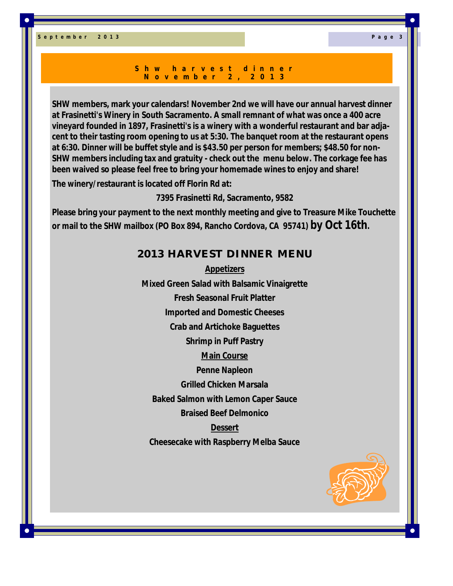#### **S h w h a r v e s t d i n n e r N o v e m b e r 2 , 2 0 1 3**

**SHW members, mark your calendars! November 2nd we will have our annual harvest dinner at Frasinetti's Winery in South Sacramento. A small remnant of what was once a 400 acre vineyard founded in 1897, Frasinetti's is a winery with a wonderful restaurant and bar adjacent to their tasting room opening to us at 5:30. The banquet room at the restaurant opens at 6:30. Dinner will be buffet style and is \$43.50 per person for members; \$48.50 for non-SHW members including tax and gratuity - check out the menu below. The corkage fee has been waived so please feel free to bring your homemade wines to enjoy and share!**

**The winery/restaurant is located off Florin Rd at:**

**7395 Frasinetti Rd, Sacramento, 9582**

**Please bring your payment to the next monthly meeting and give to Treasure Mike Touchette or mail to the SHW mailbox (PO Box 894, Rancho Cordova, CA 95741) by Oct 16th.** 

# **2013 HARVEST DINNER MENU**

**Appetizers Mixed Green Salad with Balsamic Vinaigrette Fresh Seasonal Fruit Platter Imported and Domestic Cheeses Crab and Artichoke Baguettes Shrimp in Puff Pastry Main Course Penne Napleon Grilled Chicken Marsala Baked Salmon with Lemon Caper Sauce Braised Beef Delmonico Dessert Cheesecake with Raspberry Melba Sauce**

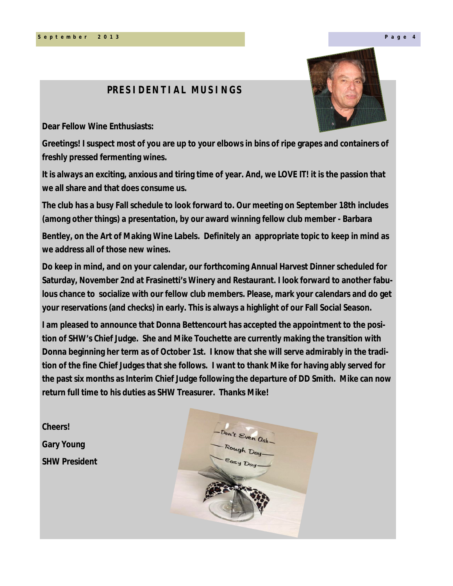## **PRESIDENTIAL MUSINGS**

**Dear Fellow Wine Enthusiasts:** 

**Greetings! I suspect most of you are up to your elbows in bins of ripe grapes and containers of freshly pressed fermenting wines.**

**It is always an exciting, anxious and tiring time of year. And, we LOVE IT! it is the passion that we all share and that does consume us.**

**The club has a busy Fall schedule to look forward to. Our meeting on September 18th includes (among other things) a presentation, by our award winning fellow club member - Barbara**

**Bentley, on the Art of Making Wine Labels. Definitely an appropriate topic to keep in mind as we address all of those new wines.**

**Do keep in mind, and on your calendar, our forthcoming Annual Harvest Dinner scheduled for Saturday, November 2nd at Frasinetti's Winery and Restaurant. I look forward to another fabulous chance to socialize with our fellow club members. Please, mark your calendars and do get your reservations (and checks) in early. This is always a highlight of our Fall Social Season.**

**I am pleased to announce that Donna Bettencourt has accepted the appointment to the position of SHW's Chief Judge. She and Mike Touchette are currently making the transition with Donna beginning her term as of October 1st. I know that she will serve admirably in the tradition of the fine Chief Judges that she follows. I want to thank Mike for having ably served for the past six months as Interim Chief Judge following the departure of DD Smith. Mike can now return full time to his duties as SHW Treasurer. Thanks Mike!**

**Cheers! Gary Young SHW President**



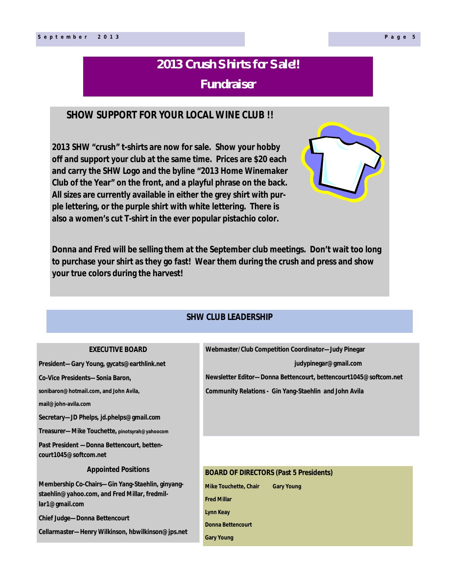# **2013 Crush Shirts for Sale!! Fundraiser**

# **SHOW SUPPORT FOR YOUR LOCAL WINE CLUB !!**

**2013 SHW "crush" t-shirts are now for sale. Show your hobby off and support your club at the same time. Prices are \$20 each and carry the SHW Logo and the byline "2013 Home Winemaker Club of the Year" on the front, and a playful phrase on the back. All sizes are currently available in either the grey shirt with purple lettering, or the purple shirt with white lettering. There is also a women's cut T-shirt in the ever popular pistachio color.**

**Donna and Fred will be selling them at the September club meetings. Don't wait too long to purchase your shirt as they go fast! Wear them during the crush and press and show your true colors during the harvest!**

## **SHW CLUB LEADERSHIP**

| <b>EXECUTIVE BOARD</b>                                                                                              | Webmaster/Club Competition Coordinator-Judy Pinegar              |
|---------------------------------------------------------------------------------------------------------------------|------------------------------------------------------------------|
| President-Gary Young, gycats@earthlink.net                                                                          | judypinegar@gmail.com                                            |
| Co-Vice Presidents-Sonia Baron,                                                                                     | Newsletter Editor-Donna Bettencourt, bettencourt1045@softcom.net |
| sonibaron@hotmail.com, and John Avila,                                                                              | <b>Community Relations - Gin Yang-Staehlin and John Avila</b>    |
| mail@john-avila.com                                                                                                 |                                                                  |
| Secretary--JD Phelps, jd.phelps@gmail.com                                                                           |                                                                  |
| Treasurer—Mike Touchette, pinotsyrah@yahoocom                                                                       |                                                                  |
| Past President - Donna Bettencourt, betten-<br>court1045@softcom.net                                                |                                                                  |
| <b>Appointed Positions</b>                                                                                          | <b>BOARD OF DIRECTORS (Past 5 Presidents)</b>                    |
| Membership Co-Chairs-Gin Yang-Staehlin, ginyang-<br>staehlin@yahoo.com, and Fred Millar, fredmil-<br>lar1@gmail.com | <b>Mike Touchette, Chair</b><br><b>Gary Young</b>                |
|                                                                                                                     | <b>Fred Millar</b>                                               |
| <b>Chief Judge-Donna Bettencourt</b>                                                                                | <b>Lynn Keay</b>                                                 |
| Cellarmaster-Henry Wilkinson, hbwilkinson@jps.net                                                                   | <b>Donna Bettencourt</b>                                         |
|                                                                                                                     | <b>Gary Young</b>                                                |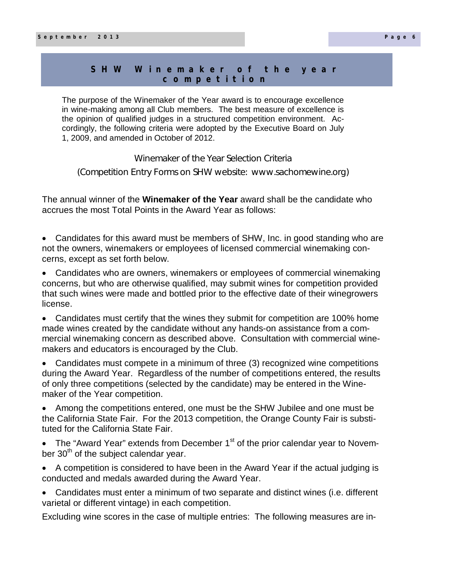### S H W W in e m a k e r o f the year **c o m p e t i t i o n**

The purpose of the Winemaker of the Year award is to encourage excellence in wine-making among all Club members. The best measure of excellence is the opinion of qualified judges in a structured competition environment. Accordingly, the following criteria were adopted by the Executive Board on July 1, 2009, and amended in October of 2012.

Winemaker of the Year Selection Criteria

(Competition Entry Forms on SHW website: www.sachomewine.org)

The annual winner of the **Winemaker of the Year** award shall be the candidate who accrues the most Total Points in the Award Year as follows:

- Candidates for this award must be members of SHW, Inc. in good standing who are not the owners, winemakers or employees of licensed commercial winemaking concerns, except as set forth below.
- Candidates who are owners, winemakers or employees of commercial winemaking concerns, but who are otherwise qualified, may submit wines for competition provided that such wines were made and bottled prior to the effective date of their winegrowers license.

 Candidates must certify that the wines they submit for competition are 100% home made wines created by the candidate without any hands-on assistance from a commercial winemaking concern as described above. Consultation with commercial winemakers and educators is encouraged by the Club.

 Candidates must compete in a minimum of three (3) recognized wine competitions during the Award Year. Regardless of the number of competitions entered, the results of only three competitions (selected by the candidate) may be entered in the Winemaker of the Year competition.

 Among the competitions entered, one must be the SHW Jubilee and one must be the California State Fair. For the 2013 competition, the Orange County Fair is substituted for the California State Fair.

- The "Award Year" extends from December  $1<sup>st</sup>$  of the prior calendar year to November  $30<sup>th</sup>$  of the subject calendar year.
- A competition is considered to have been in the Award Year if the actual judging is conducted and medals awarded during the Award Year.
- Candidates must enter a minimum of two separate and distinct wines (i.e. different varietal or different vintage) in each competition.

Excluding wine scores in the case of multiple entries: The following measures are in-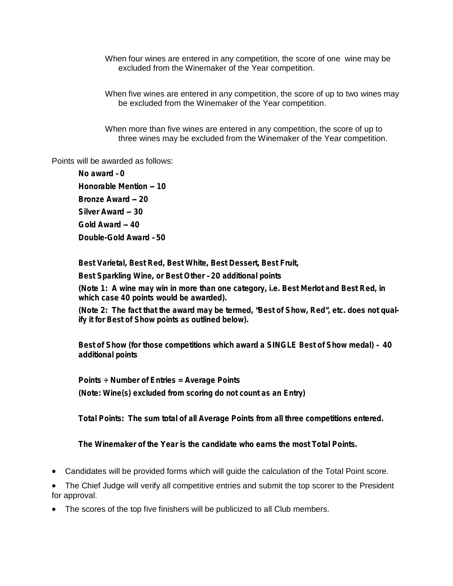When four wines are entered in any competition, the score of one wine may be excluded from the Winemaker of the Year competition.

When five wines are entered in any competition, the score of up to two wines may be excluded from the Winemaker of the Year competition.

When more than five wines are entered in any competition, the score of up to three wines may be excluded from the Winemaker of the Year competition.

Points will be awarded as follows:

**No award – 0 Honorable Mention –- 10 Bronze Award –- 20 Silver Award –- 30 Gold Award –- 40 Double-Gold Award – 50**

**Best Varietal, Best Red, Best White, Best Dessert, Best Fruit,** 

**Best Sparkling Wine, or Best Other – 20 additional points**

**(Note 1: A wine may win in more than one category, i.e. Best Merlot and Best Red, in which case 40 points would be awarded).**

**(Note 2: The fact that the award may be termed, "Best of Show, Red", etc. does not qualify it for Best of Show points as outlined below).**

**Best of Show (for those competitions which award a SINGLE Best of Show medal) – 40 additional points**

**Points ÷ Number of Entries = Average Points (Note: Wine(s) excluded from scoring do not count as an Entry)**

**Total Points: The sum total of all Average Points from all three competitions entered.**

**The Winemaker of the Year is the candidate who earns the most Total Points.**

- Candidates will be provided forms which will guide the calculation of the Total Point score.
- The Chief Judge will verify all competitive entries and submit the top scorer to the President for approval.
- The scores of the top five finishers will be publicized to all Club members.